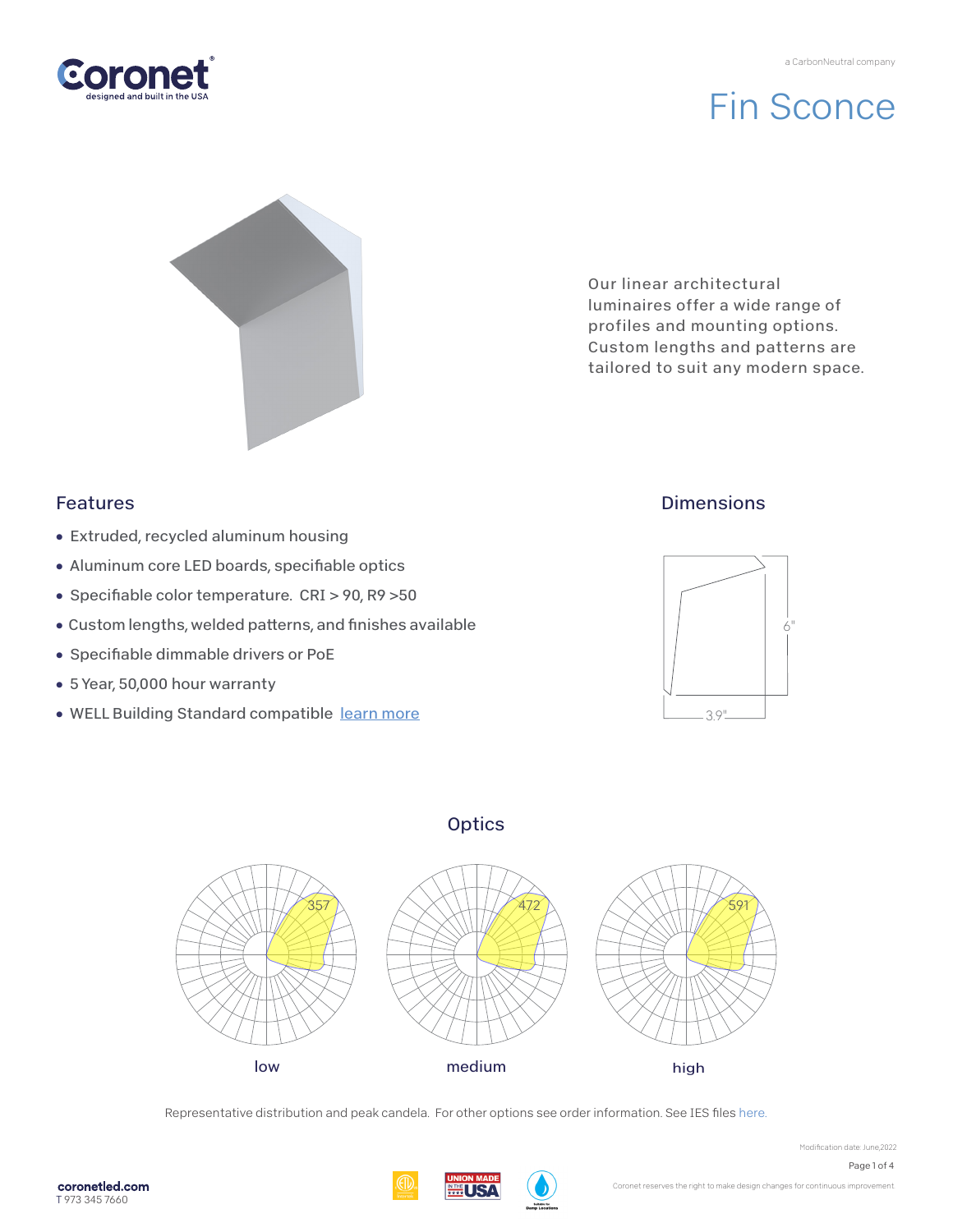

# Fin Sconce



Our linear architectural luminaires offer a wide range of profiles and mounting options. Custom lengths and patterns are tailored to suit any modern space.

## Features

- Extruded, recycled aluminum housing
- Aluminum core LED boards, specifiable optics
- Specifiable color temperature. CRI > 90, R9 > 50
- Custom lengths, welded patterns, and finishes available
- Specifiable dimmable drivers or PoE
- 5 Year, 50,000 hour warranty
- WELL Building Standard compatible [learn more](https://coronetled.com/well-v2-standard/)

## **Dimensions**



## **Optics**



Representative distribution and peak candela. For other options see order information. See IES file[s here.](https://coronetled.com/downloads/)



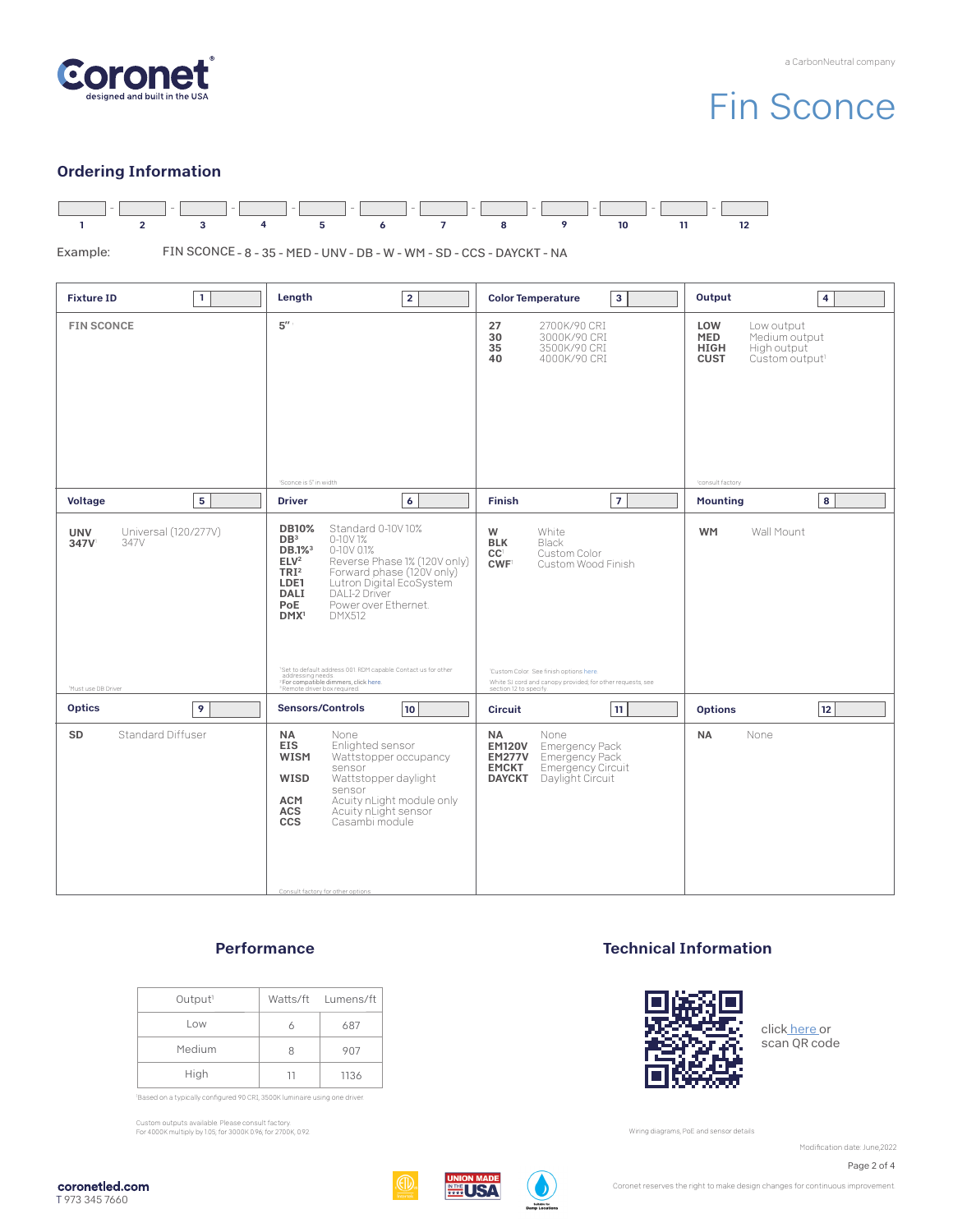

# Fin Sconce

### Ordering Information



FIN SCONCE - 8 - 35 - MED - UNV - DB - W - WM - SD - CCS - DAYCKT - NA Example:

| $\mathbf{1}$                                                             | $\overline{2}$                                                                                                                                                                                                                                                                                                                                                                                                                                                                                                                           | <b>Color Temperature</b>                                                                                                                                                                                                                    | Output                                                                                                                                          |
|--------------------------------------------------------------------------|------------------------------------------------------------------------------------------------------------------------------------------------------------------------------------------------------------------------------------------------------------------------------------------------------------------------------------------------------------------------------------------------------------------------------------------------------------------------------------------------------------------------------------------|---------------------------------------------------------------------------------------------------------------------------------------------------------------------------------------------------------------------------------------------|-------------------------------------------------------------------------------------------------------------------------------------------------|
| <b>Fixture ID</b>                                                        | Length                                                                                                                                                                                                                                                                                                                                                                                                                                                                                                                                   | $\mathbf{3}$                                                                                                                                                                                                                                | $\overline{4}$                                                                                                                                  |
| <b>FIN SCONCE</b>                                                        | $5^{\prime\prime}$<br>'Sconce is 5" in width                                                                                                                                                                                                                                                                                                                                                                                                                                                                                             | 27<br>2700K/90 CRI<br>30<br>3000K/90 CRI<br>3500K/90 CRI<br>35<br>40<br>4000K/90 CRI                                                                                                                                                        | LOW<br>Low output<br><b>MED</b><br>Medium output<br>High output<br><b>HIGH</b><br>Custom output <sup>1</sup><br><b>CUST</b><br>'consult factory |
| 5                                                                        | 6                                                                                                                                                                                                                                                                                                                                                                                                                                                                                                                                        | $\overline{7}$                                                                                                                                                                                                                              | 8                                                                                                                                               |
| Voltage                                                                  | <b>Driver</b>                                                                                                                                                                                                                                                                                                                                                                                                                                                                                                                            | <b>Finish</b>                                                                                                                                                                                                                               | <b>Mounting</b>                                                                                                                                 |
| Universal (120/277V)<br><b>UNV</b><br>347V<br>347V<br>Must use DB Driver | <b>DB10%</b><br>Standard 0-10V10%<br>DB <sup>3</sup><br>0-10V 1%<br>0-10V 0.1%<br>DB.1% <sup>3</sup><br>ELV <sup>2</sup><br>Reverse Phase 1% (120V only)<br>TRI <sup>2</sup><br>Forward phase (120V only)<br>LDE1<br>Lutron Digital EcoSystem<br>DALI-2 Driver<br><b>DALI</b><br>PoE<br>Power over Ethernet.<br><b>DMX512</b><br>DMX <sup>1</sup><br>'Set to default address 001. RDM capable. Contact us for other<br>addressing needs.<br><sup>2</sup> For compatible dimmers, click here.<br><sup>3</sup> Remote driver box required. | W<br>White<br><b>BLK</b><br>Black<br>Custom Color<br>CC <sup>1</sup><br><b>CWF</b><br>Custom Wood Finish<br>'Custom Color. See finish options here.<br>White SJ cord and canopy provided; for other requests, see<br>section 12 to specify. | <b>WM</b><br>Wall Mount                                                                                                                         |
| 9                                                                        | <b>Sensors/Controls</b>                                                                                                                                                                                                                                                                                                                                                                                                                                                                                                                  | <b>Circuit</b>                                                                                                                                                                                                                              | <b>Options</b>                                                                                                                                  |
| <b>Optics</b>                                                            | 10                                                                                                                                                                                                                                                                                                                                                                                                                                                                                                                                       | 11                                                                                                                                                                                                                                          | 12                                                                                                                                              |
| Standard Diffuser<br>SD                                                  | <b>NA</b><br>None<br><b>EIS</b><br>Enlighted sensor<br><b>WISM</b><br>Wattstopper occupancy<br>sensor<br>Wattstopper daylight<br>WISD<br>sensor<br><b>ACM</b><br>Acuity nLight module only<br>Acuity nLight sensor<br>Casambi module<br><b>ACS</b><br><b>CCS</b><br>Consult factory for other options                                                                                                                                                                                                                                    | <b>NA</b><br>None<br><b>EM120V</b><br><b>Emergency Pack</b><br><b>EM277V</b> Emergency Pack<br><b>EMCKT</b><br>Emergency Circuit<br>Daylight Circuit<br><b>DAYCKT</b>                                                                       | None<br><b>NA</b>                                                                                                                               |

### **Performance**

| Output <sup>1</sup> |    | Watts/ft Lumens/ft |
|---------------------|----|--------------------|
| Low                 |    | 687                |
| Medium              | 8  | 907                |
| High                | 11 | 1136               |

'Based on a typically configured 90 CRI, 3500K luminaire using one driver.

Custom outputs available. Please consult factory. For 4000K multiply by 1.05; for 3000K 0.96; for 2700K, 0.92.

### Technical Information



clic[k here o](https://coronetled.com/warranty-technical-info/)r scan QR code

Wiring diagrams, PoE and sensor details

Modification date: June, 2022

Page 2 of 4



Coronet reserves the right to make design changes for continuous improvement.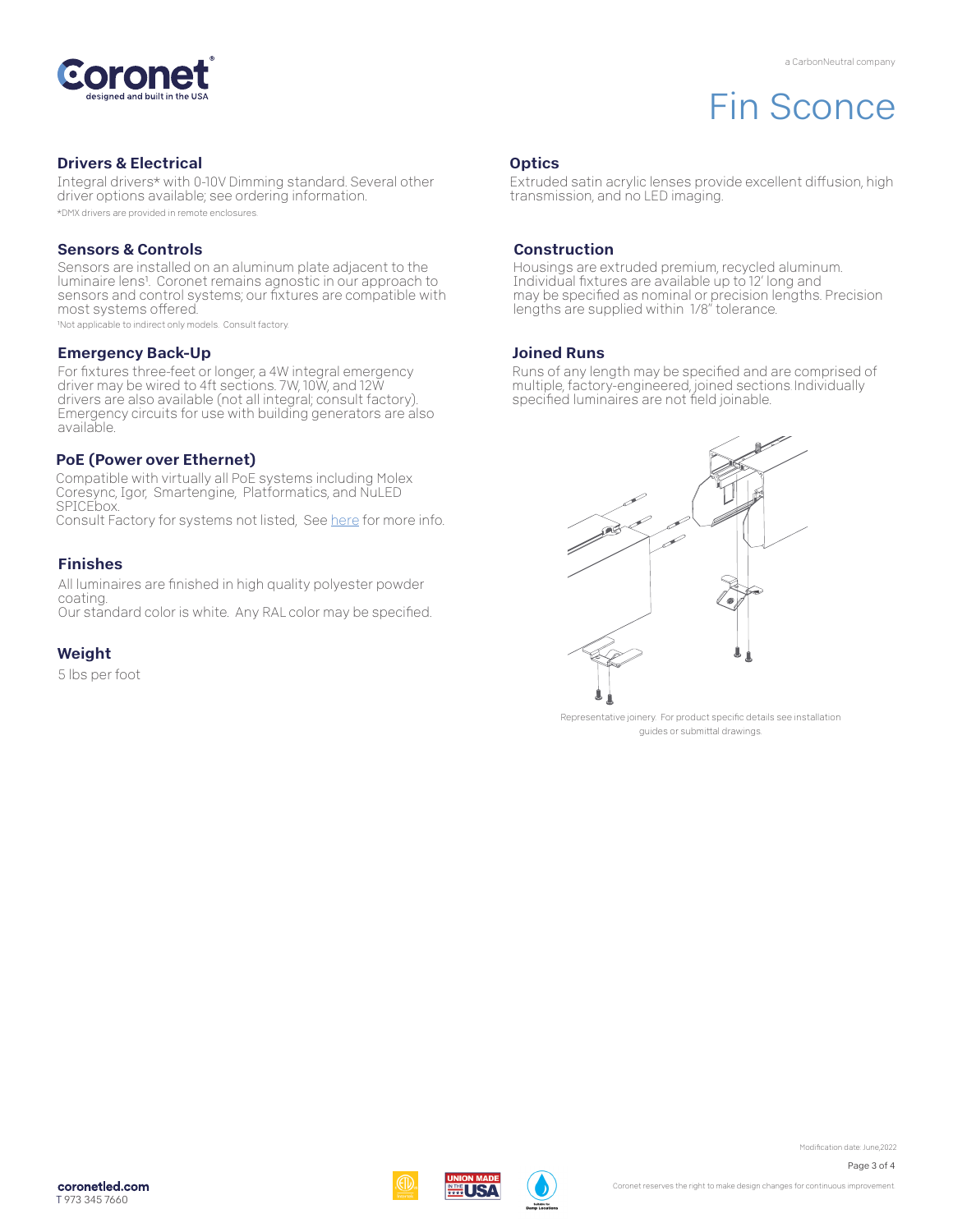

# Fin Sconce

#### Drivers & Electrical

Integral drivers\* with 0-10V Dimming standard. Several other driver options available; see ordering information. \*DMX drivers are provided in remote enclosures.

#### Sensors & Controls

Sensors are installed on an aluminum plate adjacent to the luminaire lens1. Coronet remains agnostic in our approach to sensors and control systems; our fixtures are compatible with most systems offered.

1Not applicable to indirect only models. Consult factory.

#### Emergency Back-Up

For fixtures three-feet or longer, a 4W integral emergency driver may be wired to 4ft sections. 7W, 10W, and 12W drivers are also available (not all integral; consult factory). Emergency circuits for use with building generators are also available.

#### PoE (Power over Ethernet)

Compatible with virtually all PoE systems including Molex Coresync, Igor, Smartengine, Platformatics, and NuLED SPICEbox. Consult Factory for systems not listed, See here for more info.

#### Finishes

All luminaires are finished in high quality polyester powder coating. Our standard color is white. Any RAL color may be specified.

Weight

5 lbs per foot

#### **Optics**

Extruded satin acrylic lenses provide excellent diffusion, high transmission, and no LED imaging.

#### Construction

Housings are extruded premium, recycled aluminum. Individual fixtures are available up to 12' long and may be specified as nominal or precision lengths. Precision lengths are supplied within 1/8" tolerance.

#### Joined Runs

Runs of any length may be specified and are comprised of multiple, factory-engineered, joined sections. Individually specified luminaires are not field joinable.



Representative joinery. For product specific details see installation guides or submittal drawings.

Page 3 of 4